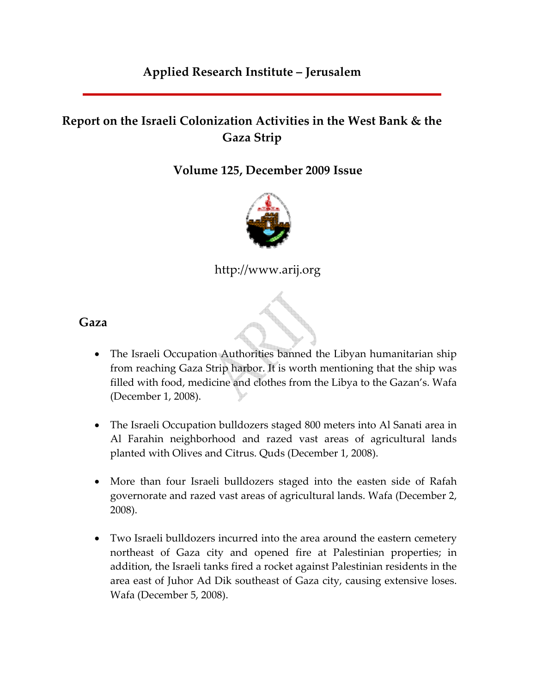## **Applied Research Institute – Jerusalem**

# **Report on the Israeli Colonization Activities in the West Bank & the Gaza Strip**

**Volume 125, December 2009 Issue** 



http://www.arij.org

d

**Gaza**

- The Israeli Occupation Authorities banned the Libyan humanitarian ship from reaching Gaza Strip harbor. It is worth mentioning that the ship was filled with food, medicine and clothes from the Libya to the Gazan's. Wafa (December 1, 2008).
- The Israeli Occupation bulldozers staged 800 meters into Al Sanati area in Al Farahin neighborhood and razed vast areas of agricultural lands planted with Olives and Citrus. Quds (December 1, 2008).
- More than four Israeli bulldozers staged into the easten side of Rafah governorate and razed vast areas of agricultural lands. Wafa (December 2, 2008).
- Two Israeli bulldozers incurred into the area around the eastern cemetery northeast of Gaza city and opened fire at Palestinian properties; in addition, the Israeli tanks fired a rocket against Palestinian residents in the area east of Juhor Ad Dik southeast of Gaza city, causing extensive loses. Wafa (December 5, 2008).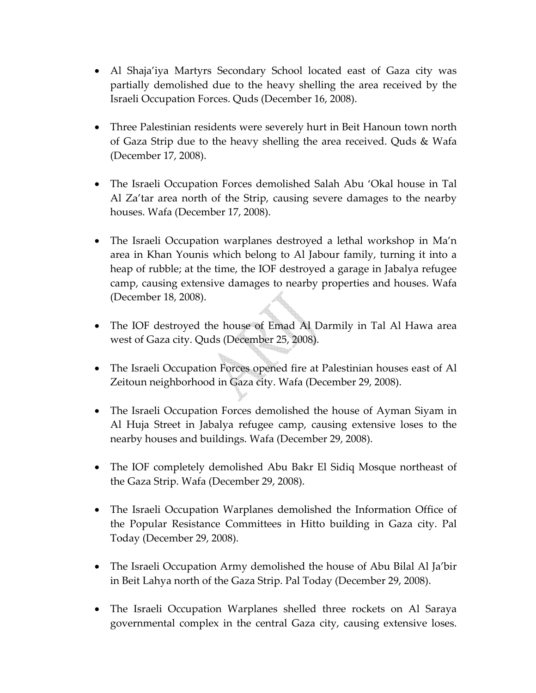- Al Shaja'iya Martyrs Secondary School located east of Gaza city was partially demolished due to the heavy shelling the area received by the Israeli Occupation Forces. Quds (December 16, 2008).
- Three Palestinian residents were severely hurt in Beit Hanoun town north of Gaza Strip due to the heavy shelling the area received. Quds & Wafa (December 17, 2008).
- The Israeli Occupation Forces demolished Salah Abu 'Okal house in Tal Al Za'tar area north of the Strip, causing severe damages to the nearby houses. Wafa (December 17, 2008).
- The Israeli Occupation warplanes destroyed a lethal workshop in Ma'n area in Khan Younis which belong to Al Jabour family, turning it into a heap of rubble; at the time, the IOF destroyed a garage in Jabalya refugee camp, causing extensive damages to nearby properties and houses. Wafa (December 18, 2008).
- The IOF destroyed the house of Emad Al Darmily in Tal Al Hawa area west of Gaza city. Quds (December 25, 2008).
- The Israeli Occupation Forces opened fire at Palestinian houses east of Al Zeitoun neighborhood in Gaza city. Wafa (December 29, 2008).
- The Israeli Occupation Forces demolished the house of Ayman Siyam in Al Huja Street in Jabalya refugee camp, causing extensive loses to the nearby houses and buildings. Wafa (December 29, 2008).
- The IOF completely demolished Abu Bakr El Sidiq Mosque northeast of the Gaza Strip. Wafa (December 29, 2008).
- The Israeli Occupation Warplanes demolished the Information Office of the Popular Resistance Committees in Hitto building in Gaza city. Pal Today (December 29, 2008).
- The Israeli Occupation Army demolished the house of Abu Bilal Al Ja'bir in Beit Lahya north of the Gaza Strip. Pal Today (December 29, 2008).
- The Israeli Occupation Warplanes shelled three rockets on Al Saraya governmental complex in the central Gaza city, causing extensive loses.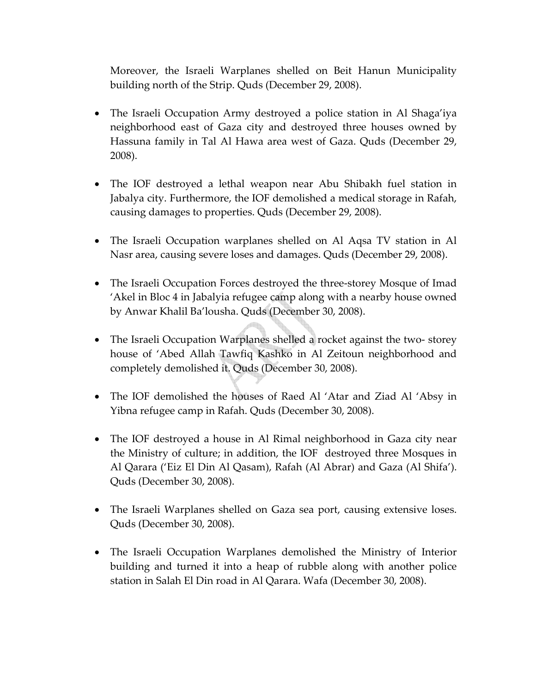Moreover, the Israeli Warplanes shelled on Beit Hanun Municipality building north of the Strip. Quds (December 29, 2008).

- The Israeli Occupation Army destroyed a police station in Al Shaga'iya neighborhood east of Gaza city and destroyed three houses owned by Hassuna family in Tal Al Hawa area west of Gaza. Quds (December 29, 2008).
- The IOF destroyed a lethal weapon near Abu Shibakh fuel station in Jabalya city. Furthermore, the IOF demolished a medical storage in Rafah, causing damages to properties. Quds (December 29, 2008).
- The Israeli Occupation warplanes shelled on Al Aqsa TV station in Al Nasr area, causing severe loses and damages. Quds (December 29, 2008).
- The Israeli Occupation Forces destroyed the three‐storey Mosque of Imad 'Akel in Bloc 4 in Jabalyia refugee camp along with a nearby house owned by Anwar Khalil Ba'lousha. Quds (December 30, 2008).
- The Israeli Occupation Warplanes shelled a rocket against the two-storey house of 'Abed Allah Tawfiq Kashko in Al Zeitoun neighborhood and completely demolished it. Quds (December 30, 2008).
- The IOF demolished the houses of Raed Al 'Atar and Ziad Al 'Absy in Yibna refugee camp in Rafah. Quds (December 30, 2008).
- The IOF destroyed a house in Al Rimal neighborhood in Gaza city near the Ministry of culture; in addition, the IOF destroyed three Mosques in Al Qarara ('Eiz El Din Al Qasam), Rafah (Al Abrar) and Gaza (Al Shifa'). Quds (December 30, 2008).
- The Israeli Warplanes shelled on Gaza sea port, causing extensive loses. Quds (December 30, 2008).
- The Israeli Occupation Warplanes demolished the Ministry of Interior building and turned it into a heap of rubble along with another police station in Salah El Din road in Al Qarara. Wafa (December 30, 2008).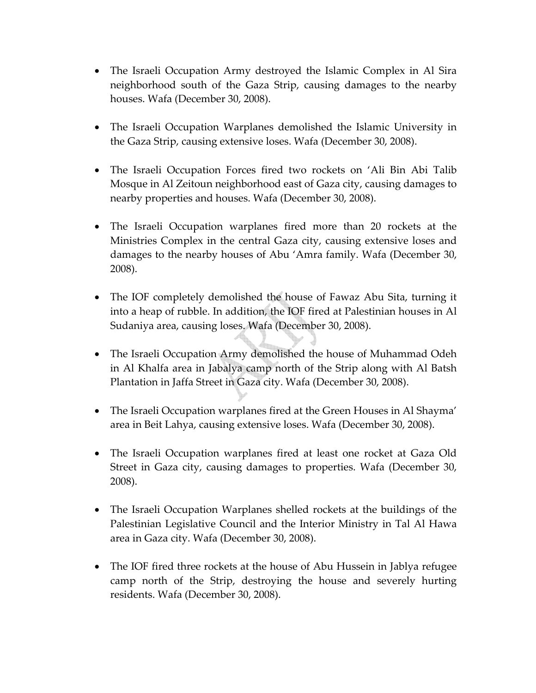- The Israeli Occupation Army destroyed the Islamic Complex in Al Sira neighborhood south of the Gaza Strip, causing damages to the nearby houses. Wafa (December 30, 2008).
- The Israeli Occupation Warplanes demolished the Islamic University in the Gaza Strip, causing extensive loses. Wafa (December 30, 2008).
- The Israeli Occupation Forces fired two rockets on 'Ali Bin Abi Talib Mosque in Al Zeitoun neighborhood east of Gaza city, causing damages to nearby properties and houses. Wafa (December 30, 2008).
- The Israeli Occupation warplanes fired more than 20 rockets at the Ministries Complex in the central Gaza city, causing extensive loses and damages to the nearby houses of Abu 'Amra family. Wafa (December 30, 2008).
- The IOF completely demolished the house of Fawaz Abu Sita, turning it into a heap of rubble. In addition, the IOF fired at Palestinian houses in Al Sudaniya area, causing loses. Wafa (December 30, 2008).
- The Israeli Occupation Army demolished the house of Muhammad Odeh in Al Khalfa area in Jabalya camp north of the Strip along with Al Batsh Plantation in Jaffa Street in Gaza city. Wafa (December 30, 2008).
- The Israeli Occupation warplanes fired at the Green Houses in Al Shayma' area in Beit Lahya, causing extensive loses. Wafa (December 30, 2008).
- The Israeli Occupation warplanes fired at least one rocket at Gaza Old Street in Gaza city, causing damages to properties. Wafa (December 30, 2008).
- The Israeli Occupation Warplanes shelled rockets at the buildings of the Palestinian Legislative Council and the Interior Ministry in Tal Al Hawa area in Gaza city. Wafa (December 30, 2008).
- The IOF fired three rockets at the house of Abu Hussein in Jablya refugee camp north of the Strip, destroying the house and severely hurting residents. Wafa (December 30, 2008).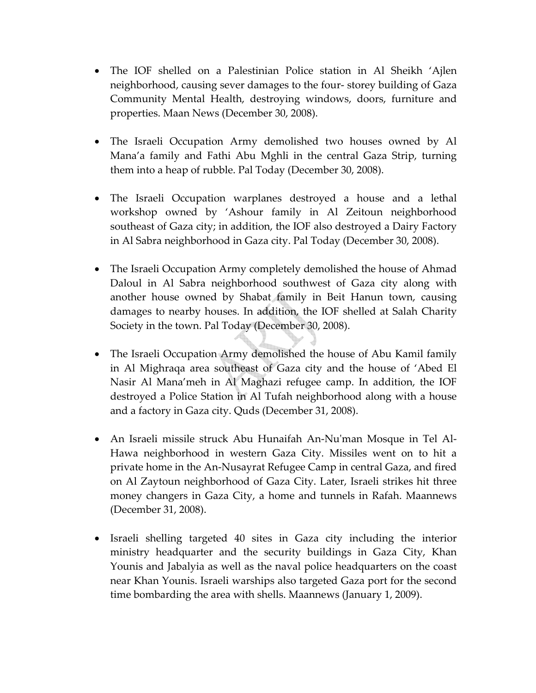- The IOF shelled on a Palestinian Police station in Al Sheikh 'Ajlen neighborhood, causing sever damages to the four‐ storey building of Gaza Community Mental Health, destroying windows, doors, furniture and properties. Maan News (December 30, 2008).
- The Israeli Occupation Army demolished two houses owned by Al Mana'a family and Fathi Abu Mghli in the central Gaza Strip, turning them into a heap of rubble. Pal Today (December 30, 2008).
- The Israeli Occupation warplanes destroyed a house and a lethal workshop owned by 'Ashour family in Al Zeitoun neighborhood southeast of Gaza city; in addition, the IOF also destroyed a Dairy Factory in Al Sabra neighborhood in Gaza city. Pal Today (December 30, 2008).
- The Israeli Occupation Army completely demolished the house of Ahmad Daloul in Al Sabra neighborhood southwest of Gaza city along with another house owned by Shabat family in Beit Hanun town, causing damages to nearby houses. In addition, the IOF shelled at Salah Charity Society in the town. Pal Today (December 30, 2008).
- The Israeli Occupation Army demolished the house of Abu Kamil family in Al Mighraqa area southeast of Gaza city and the house of 'Abed El Nasir Al Mana'meh in Al Maghazi refugee camp. In addition, the IOF destroyed a Police Station in Al Tufah neighborhood along with a house and a factory in Gaza city. Quds (December 31, 2008).
- An Israeli missile struck Abu Hunaifah An-Nu'man Mosque in Tel Al-Hawa neighborhood in western Gaza City. Missiles went on to hit a private home in the An‐Nusayrat Refugee Camp in central Gaza, and fired on Al Zaytoun neighborhood of Gaza City. Later, Israeli strikes hit three money changers in Gaza City, a home and tunnels in Rafah. Maannews (December 31, 2008).
- Israeli shelling targeted 40 sites in Gaza city including the interior ministry headquarter and the security buildings in Gaza City, Khan Younis and Jabalyia as well as the naval police headquarters on the coast near Khan Younis. Israeli warships also targeted Gaza port for the second time bombarding the area with shells. Maannews (January 1, 2009).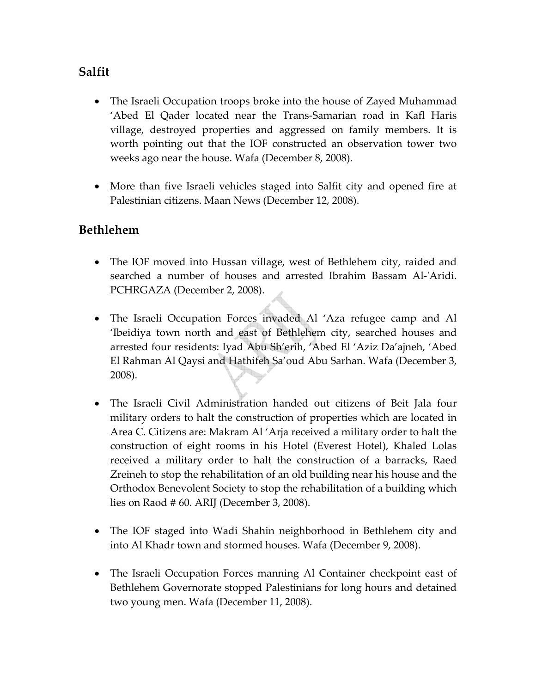## **Salfit**

- The Israeli Occupation troops broke into the house of Zayed Muhammad 'Abed El Qader located near the Trans‐Samarian road in Kafl Haris village, destroyed properties and aggressed on family members. It is worth pointing out that the IOF constructed an observation tower two weeks ago near the house. Wafa (December 8, 2008).
- More than five Israeli vehicles staged into Salfit city and opened fire at Palestinian citizens. Maan News (December 12, 2008).

#### **Bethlehem**

- The IOF moved into Hussan village, west of Bethlehem city, raided and searched a number of houses and arrested Ibrahim Bassam Al-'Aridi. PCHRGAZA (December 2, 2008).
- The Israeli Occupation Forces invaded Al 'Aza refugee camp and Al 'Ibeidiya town north and east of Bethlehem city, searched houses and arrested four residents: Iyad Abu Sh'erih, 'Abed El 'Aziz Da'ajneh, 'Abed El Rahman Al Qaysi and Hathifeh Sa'oud Abu Sarhan. Wafa (December 3, 2008).
- The Israeli Civil Administration handed out citizens of Beit Jala four military orders to halt the construction of properties which are located in Area C. Citizens are: Makram Al 'Arja received a military order to halt the construction of eight rooms in his Hotel (Everest Hotel), Khaled Lolas received a military order to halt the construction of a barracks, Raed Zreineh to stop the rehabilitation of an old building near his house and the Orthodox Benevolent Society to stop the rehabilitation of a building which lies on Raod # 60. ARIJ (December 3, 2008).
- The IOF staged into Wadi Shahin neighborhood in Bethlehem city and into Al Khadr town and stormed houses. Wafa (December 9, 2008).
- The Israeli Occupation Forces manning Al Container checkpoint east of Bethlehem Governorate stopped Palestinians for long hours and detained two young men. Wafa (December 11, 2008).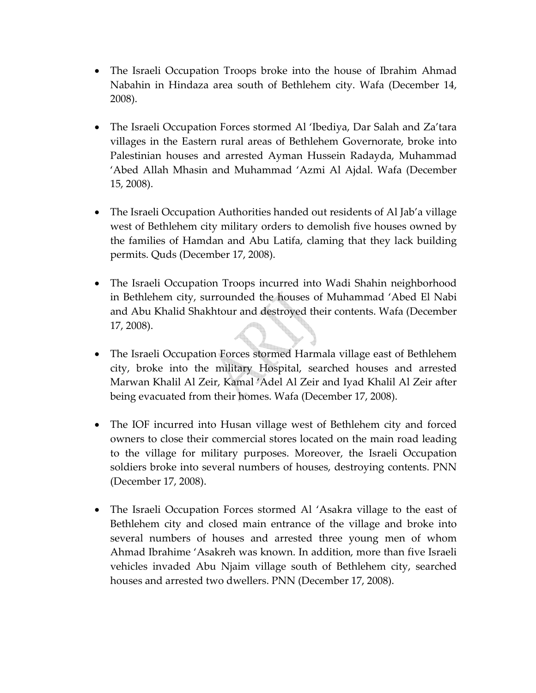- The Israeli Occupation Troops broke into the house of Ibrahim Ahmad Nabahin in Hindaza area south of Bethlehem city. Wafa (December 14, 2008).
- The Israeli Occupation Forces stormed Al 'Ibediya, Dar Salah and Za'tara villages in the Eastern rural areas of Bethlehem Governorate, broke into Palestinian houses and arrested Ayman Hussein Radayda, Muhammad 'Abed Allah Mhasin and Muhammad 'Azmi Al Ajdal. Wafa (December 15, 2008).
- The Israeli Occupation Authorities handed out residents of Al Jab'a village west of Bethlehem city military orders to demolish five houses owned by the families of Hamdan and Abu Latifa, claming that they lack building permits. Quds (December 17, 2008).
- The Israeli Occupation Troops incurred into Wadi Shahin neighborhood in Bethlehem city, surrounded the houses of Muhammad 'Abed El Nabi and Abu Khalid Shakhtour and destroyed their contents. Wafa (December 17, 2008).
- The Israeli Occupation Forces stormed Harmala village east of Bethlehem city, broke into the military Hospital, searched houses and arrested Marwan Khalil Al Zeir, Kamal 'Adel Al Zeir and Iyad Khalil Al Zeir after being evacuated from their homes. Wafa (December 17, 2008).
- The IOF incurred into Husan village west of Bethlehem city and forced owners to close their commercial stores located on the main road leading to the village for military purposes. Moreover, the Israeli Occupation soldiers broke into several numbers of houses, destroying contents. PNN (December 17, 2008).
- The Israeli Occupation Forces stormed Al 'Asakra village to the east of Bethlehem city and closed main entrance of the village and broke into several numbers of houses and arrested three young men of whom Ahmad Ibrahime 'Asakreh was known. In addition, more than five Israeli vehicles invaded Abu Njaim village south of Bethlehem city, searched houses and arrested two dwellers. PNN (December 17, 2008).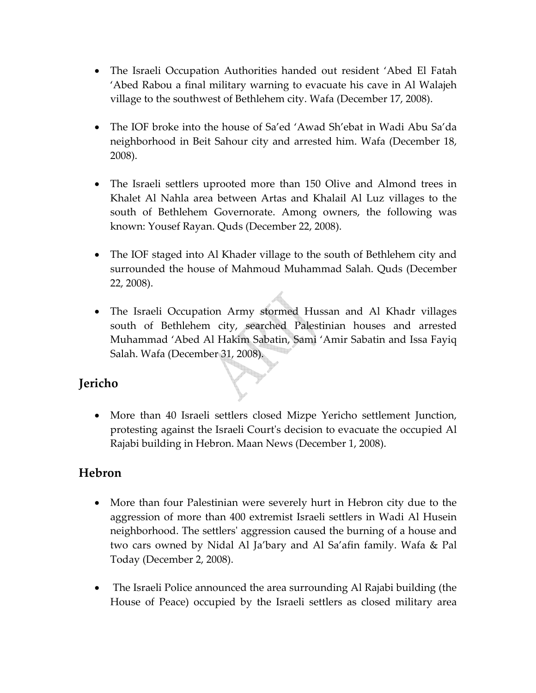- The Israeli Occupation Authorities handed out resident 'Abed El Fatah 'Abed Rabou a final military warning to evacuate his cave in Al Walajeh village to the southwest of Bethlehem city. Wafa (December 17, 2008).
- The IOF broke into the house of Sa'ed 'Awad Sh'ebat in Wadi Abu Sa'da neighborhood in Beit Sahour city and arrested him. Wafa (December 18, 2008).
- The Israeli settlers uprooted more than 150 Olive and Almond trees in Khalet Al Nahla area between Artas and Khalail Al Luz villages to the south of Bethlehem Governorate. Among owners, the following was known: Yousef Rayan. Quds (December 22, 2008).
- The IOF staged into Al Khader village to the south of Bethlehem city and surrounded the house of Mahmoud Muhammad Salah. Quds (December 22, 2008).
- The Israeli Occupation Army stormed Hussan and Al Khadr villages south of Bethlehem city, searched Palestinian houses and arrested Muhammad 'Abed Al Hakim Sabatin, Sami 'Amir Sabatin and Issa Fayiq Salah. Wafa (December 31, 2008).

## **Jericho**

• More than 40 Israeli settlers closed Mizpe Yericho settlement Junction, protesting against the Israeli Courtʹs decision to evacuate the occupied Al Rajabi building in Hebron. Maan News (December 1, 2008).

#### **Hebron**

- More than four Palestinian were severely hurt in Hebron city due to the aggression of more than 400 extremist Israeli settlers in Wadi Al Husein neighborhood. The settlersʹ aggression caused the burning of a house and two cars owned by Nidal Al Ja'bary and Al Sa'afin family. Wafa & Pal Today (December 2, 2008).
- The Israeli Police announced the area surrounding Al Rajabi building (the House of Peace) occupied by the Israeli settlers as closed military area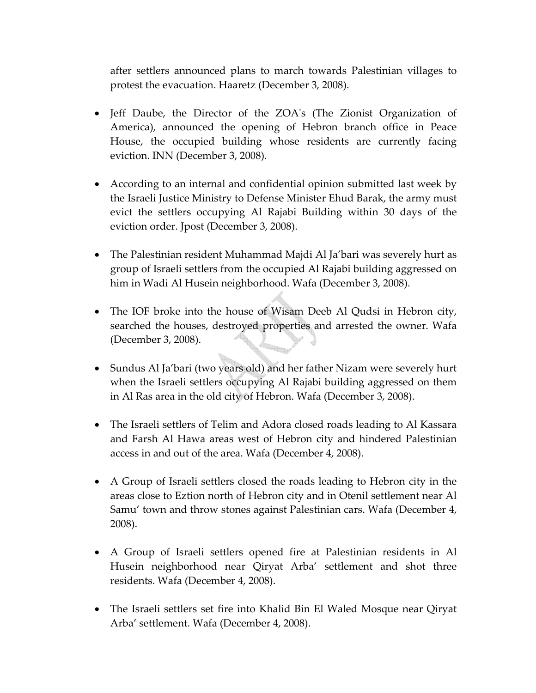after settlers announced plans to march towards Palestinian villages to protest the evacuation. Haaretz (December 3, 2008).

- Jeff Daube, the Director of the ZOA's (The Zionist Organization of America), announced the opening of Hebron branch office in Peace House, the occupied building whose residents are currently facing eviction. INN (December 3, 2008).
- According to an internal and confidential opinion submitted last week by the Israeli Justice Ministry to Defense Minister Ehud Barak, the army must evict the settlers occupying Al Rajabi Building within 30 days of the eviction order. Jpost (December 3, 2008).
- The Palestinian resident Muhammad Majdi Al Ja'bari was severely hurt as group of Israeli settlers from the occupied Al Rajabi building aggressed on him in Wadi Al Husein neighborhood. Wafa (December 3, 2008).
- The IOF broke into the house of Wisam Deeb Al Qudsi in Hebron city, searched the houses, destroyed properties and arrested the owner. Wafa (December 3, 2008).
- Sundus Al Ja'bari (two years old) and her father Nizam were severely hurt when the Israeli settlers occupying Al Rajabi building aggressed on them in Al Ras area in the old city of Hebron. Wafa (December 3, 2008).
- The Israeli settlers of Telim and Adora closed roads leading to Al Kassara and Farsh Al Hawa areas west of Hebron city and hindered Palestinian access in and out of the area. Wafa (December 4, 2008).
- A Group of Israeli settlers closed the roads leading to Hebron city in the areas close to Eztion north of Hebron city and in Otenil settlement near Al Samu' town and throw stones against Palestinian cars. Wafa (December 4, 2008).
- A Group of Israeli settlers opened fire at Palestinian residents in Al Husein neighborhood near Qiryat Arba' settlement and shot three residents. Wafa (December 4, 2008).
- The Israeli settlers set fire into Khalid Bin El Waled Mosque near Qiryat Arba' settlement. Wafa (December 4, 2008).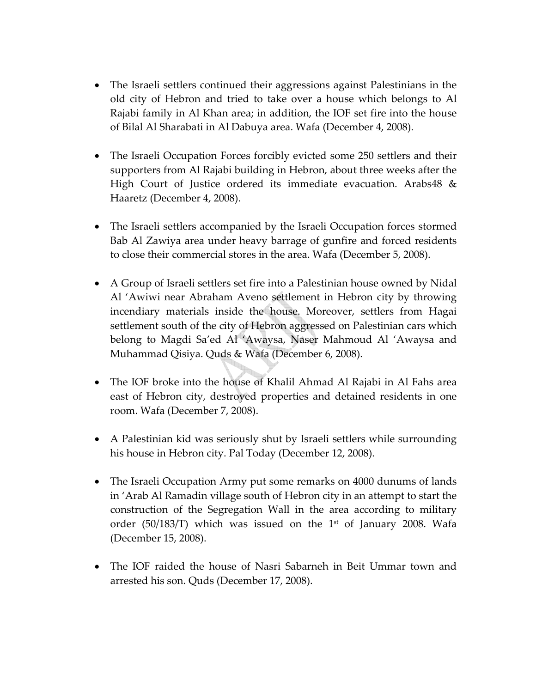- The Israeli settlers continued their aggressions against Palestinians in the old city of Hebron and tried to take over a house which belongs to Al Rajabi family in Al Khan area; in addition, the IOF set fire into the house of Bilal Al Sharabati in Al Dabuya area. Wafa (December 4, 2008).
- The Israeli Occupation Forces forcibly evicted some 250 settlers and their supporters from Al Rajabi building in Hebron, about three weeks after the High Court of Justice ordered its immediate evacuation. Arabs48 & Haaretz (December 4, 2008).
- The Israeli settlers accompanied by the Israeli Occupation forces stormed Bab Al Zawiya area under heavy barrage of gunfire and forced residents to close their commercial stores in the area. Wafa (December 5, 2008).
- A Group of Israeli settlers set fire into a Palestinian house owned by Nidal Al 'Awiwi near Abraham Aveno settlement in Hebron city by throwing incendiary materials inside the house. Moreover, settlers from Hagai settlement south of the city of Hebron aggressed on Palestinian cars which belong to Magdi Sa'ed Al 'Awaysa, Naser Mahmoud Al 'Awaysa and Muhammad Qisiya. Quds & Wafa (December 6, 2008).
- The IOF broke into the house of Khalil Ahmad Al Rajabi in Al Fahs area east of Hebron city, destroyed properties and detained residents in one room. Wafa (December 7, 2008).
- A Palestinian kid was seriously shut by Israeli settlers while surrounding his house in Hebron city. Pal Today (December 12, 2008).
- The Israeli Occupation Army put some remarks on 4000 dunums of lands in 'Arab Al Ramadin village south of Hebron city in an attempt to start the construction of the Segregation Wall in the area according to military order (50/183/T) which was issued on the 1<sup>st</sup> of January 2008. Wafa (December 15, 2008).
- The IOF raided the house of Nasri Sabarneh in Beit Ummar town and arrested his son. Quds (December 17, 2008).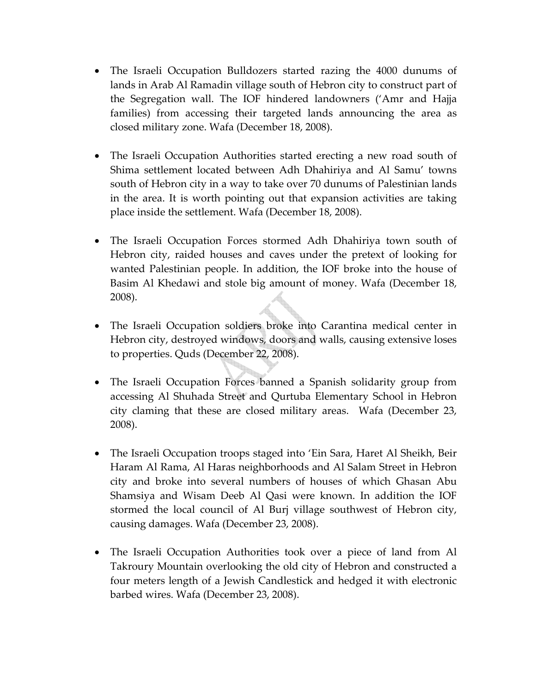- The Israeli Occupation Bulldozers started razing the 4000 dunums of lands in Arab Al Ramadin village south of Hebron city to construct part of the Segregation wall. The IOF hindered landowners ('Amr and Hajja families) from accessing their targeted lands announcing the area as closed military zone. Wafa (December 18, 2008).
- The Israeli Occupation Authorities started erecting a new road south of Shima settlement located between Adh Dhahiriya and Al Samu' towns south of Hebron city in a way to take over 70 dunums of Palestinian lands in the area. It is worth pointing out that expansion activities are taking place inside the settlement. Wafa (December 18, 2008).
- The Israeli Occupation Forces stormed Adh Dhahiriya town south of Hebron city, raided houses and caves under the pretext of looking for wanted Palestinian people. In addition, the IOF broke into the house of Basim Al Khedawi and stole big amount of money. Wafa (December 18, 2008).
- The Israeli Occupation soldiers broke into Carantina medical center in Hebron city, destroyed windows, doors and walls, causing extensive loses to properties. Quds (December 22, 2008).
- The Israeli Occupation Forces banned a Spanish solidarity group from accessing Al Shuhada Street and Qurtuba Elementary School in Hebron city claming that these are closed military areas. Wafa (December 23, 2008).
- The Israeli Occupation troops staged into 'Ein Sara, Haret Al Sheikh, Beir Haram Al Rama, Al Haras neighborhoods and Al Salam Street in Hebron city and broke into several numbers of houses of which Ghasan Abu Shamsiya and Wisam Deeb Al Qasi were known. In addition the IOF stormed the local council of Al Burj village southwest of Hebron city, causing damages. Wafa (December 23, 2008).
- The Israeli Occupation Authorities took over a piece of land from Al Takroury Mountain overlooking the old city of Hebron and constructed a four meters length of a Jewish Candlestick and hedged it with electronic barbed wires. Wafa (December 23, 2008).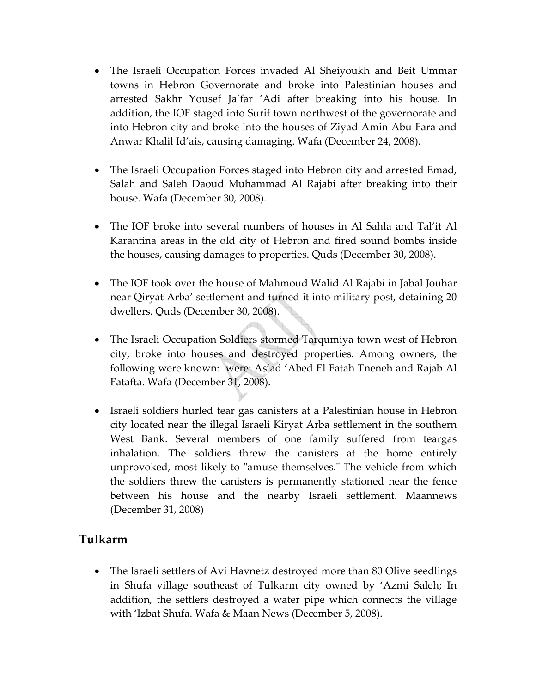- The Israeli Occupation Forces invaded Al Sheiyoukh and Beit Ummar towns in Hebron Governorate and broke into Palestinian houses and arrested Sakhr Yousef Ja'far 'Adi after breaking into his house. In addition, the IOF staged into Surif town northwest of the governorate and into Hebron city and broke into the houses of Ziyad Amin Abu Fara and Anwar Khalil Id'ais, causing damaging. Wafa (December 24, 2008).
- The Israeli Occupation Forces staged into Hebron city and arrested Emad, Salah and Saleh Daoud Muhammad Al Rajabi after breaking into their house. Wafa (December 30, 2008).
- The IOF broke into several numbers of houses in Al Sahla and Tal'it Al Karantina areas in the old city of Hebron and fired sound bombs inside the houses, causing damages to properties. Quds (December 30, 2008).
- The IOF took over the house of Mahmoud Walid Al Rajabi in Jabal Jouhar near Qiryat Arba' settlement and turned it into military post, detaining 20 dwellers. Quds (December 30, 2008).
- The Israeli Occupation Soldiers stormed Tarqumiya town west of Hebron city, broke into houses and destroyed properties. Among owners, the following were known: were: As'ad 'Abed El Fatah Tneneh and Rajab Al Fatafta. Wafa (December 31, 2008).
- Israeli soldiers hurled tear gas canisters at a Palestinian house in Hebron city located near the illegal Israeli Kiryat Arba settlement in the southern West Bank. Several members of one family suffered from teargas inhalation. The soldiers threw the canisters at the home entirely unprovoked, most likely to "amuse themselves." The vehicle from which the soldiers threw the canisters is permanently stationed near the fence between his house and the nearby Israeli settlement. Maannews (December 31, 2008)

#### **Tulkarm**

• The Israeli settlers of Avi Havnetz destroyed more than 80 Olive seedlings in Shufa village southeast of Tulkarm city owned by 'Azmi Saleh; In addition, the settlers destroyed a water pipe which connects the village with 'Izbat Shufa. Wafa & Maan News (December 5, 2008).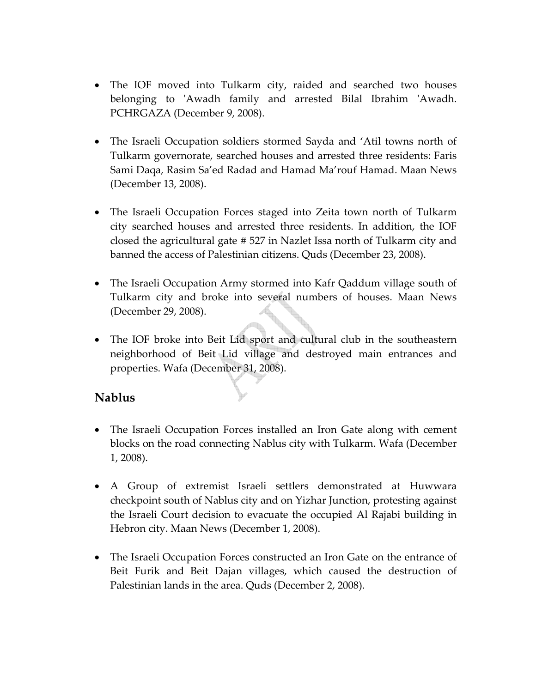- The IOF moved into Tulkarm city, raided and searched two houses belonging to 'Awadh family and arrested Bilal Ibrahim 'Awadh. PCHRGAZA (December 9, 2008).
- The Israeli Occupation soldiers stormed Sayda and 'Atil towns north of Tulkarm governorate, searched houses and arrested three residents: Faris Sami Daqa, Rasim Sa'ed Radad and Hamad Ma'rouf Hamad. Maan News (December 13, 2008).
- The Israeli Occupation Forces staged into Zeita town north of Tulkarm city searched houses and arrested three residents. In addition, the IOF closed the agricultural gate # 527 in Nazlet Issa north of Tulkarm city and banned the access of Palestinian citizens. Quds (December 23, 2008).
- The Israeli Occupation Army stormed into Kafr Qaddum village south of Tulkarm city and broke into several numbers of houses. Maan News (December 29, 2008).
- The IOF broke into Beit Lid sport and cultural club in the southeastern neighborhood of Beit Lid village and destroyed main entrances and properties. Wafa (December 31, 2008).

#### **Nablus**

- The Israeli Occupation Forces installed an Iron Gate along with cement blocks on the road connecting Nablus city with Tulkarm. Wafa (December 1, 2008).
- A Group of extremist Israeli settlers demonstrated at Huwwara checkpoint south of Nablus city and on Yizhar Junction, protesting against the Israeli Court decision to evacuate the occupied Al Rajabi building in Hebron city. Maan News (December 1, 2008).
- The Israeli Occupation Forces constructed an Iron Gate on the entrance of Beit Furik and Beit Dajan villages, which caused the destruction of Palestinian lands in the area. Quds (December 2, 2008).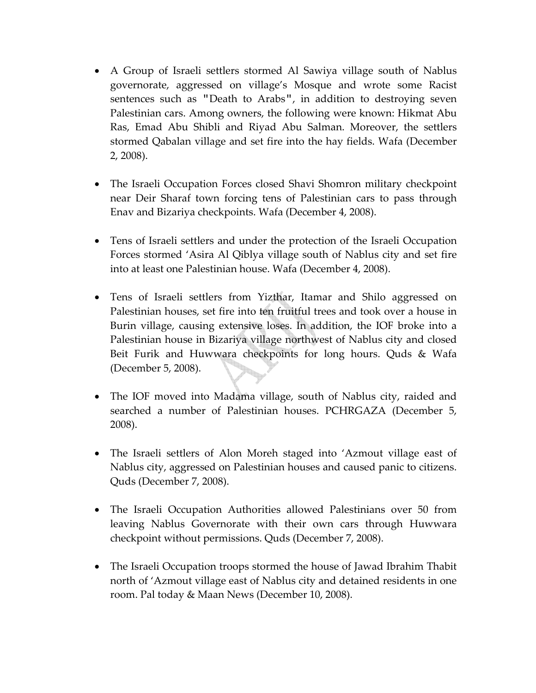- A Group of Israeli settlers stormed Al Sawiya village south of Nablus governorate, aggressed on village's Mosque and wrote some Racist sentences such as "Death to Arabs", in addition to destroying seven Palestinian cars. Among owners, the following were known: Hikmat Abu Ras, Emad Abu Shibli and Riyad Abu Salman. Moreover, the settlers stormed Qabalan village and set fire into the hay fields. Wafa (December 2, 2008).
- The Israeli Occupation Forces closed Shavi Shomron military checkpoint near Deir Sharaf town forcing tens of Palestinian cars to pass through Enav and Bizariya checkpoints. Wafa (December 4, 2008).
- Tens of Israeli settlers and under the protection of the Israeli Occupation Forces stormed 'Asira Al Qiblya village south of Nablus city and set fire into at least one Palestinian house. Wafa (December 4, 2008).
- Tens of Israeli settlers from Yizthar, Itamar and Shilo aggressed on Palestinian houses, set fire into ten fruitful trees and took over a house in Burin village, causing extensive loses. In addition, the IOF broke into a Palestinian house in Bizariya village northwest of Nablus city and closed Beit Furik and Huwwara checkpoints for long hours. Quds & Wafa (December 5, 2008).
- The IOF moved into Madama village, south of Nablus city, raided and searched a number of Palestinian houses. PCHRGAZA (December 5, 2008).
- The Israeli settlers of Alon Moreh staged into 'Azmout village east of Nablus city, aggressed on Palestinian houses and caused panic to citizens. Quds (December 7, 2008).
- The Israeli Occupation Authorities allowed Palestinians over 50 from leaving Nablus Governorate with their own cars through Huwwara checkpoint without permissions. Quds (December 7, 2008).
- The Israeli Occupation troops stormed the house of Jawad Ibrahim Thabit north of 'Azmout village east of Nablus city and detained residents in one room. Pal today & Maan News (December 10, 2008).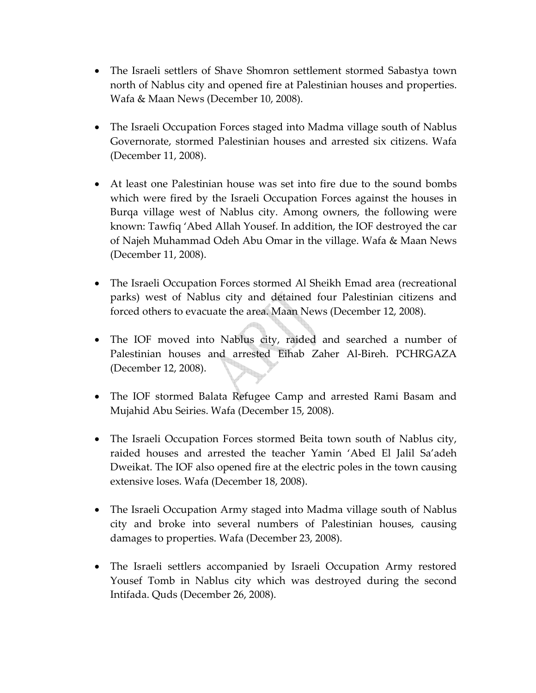- The Israeli settlers of Shave Shomron settlement stormed Sabastya town north of Nablus city and opened fire at Palestinian houses and properties. Wafa & Maan News (December 10, 2008).
- The Israeli Occupation Forces staged into Madma village south of Nablus Governorate, stormed Palestinian houses and arrested six citizens. Wafa (December 11, 2008).
- At least one Palestinian house was set into fire due to the sound bombs which were fired by the Israeli Occupation Forces against the houses in Burqa village west of Nablus city. Among owners, the following were known: Tawfiq 'Abed Allah Yousef. In addition, the IOF destroyed the car of Najeh Muhammad Odeh Abu Omar in the village. Wafa & Maan News (December 11, 2008).
- The Israeli Occupation Forces stormed Al Sheikh Emad area (recreational parks) west of Nablus city and detained four Palestinian citizens and forced others to evacuate the area. Maan News (December 12, 2008).
- The IOF moved into Nablus city, raided and searched a number of Palestinian houses and arrested Eihab Zaher Al‐Bireh. PCHRGAZA (December 12, 2008).
- The IOF stormed Balata Refugee Camp and arrested Rami Basam and Mujahid Abu Seiries. Wafa (December 15, 2008).
- The Israeli Occupation Forces stormed Beita town south of Nablus city, raided houses and arrested the teacher Yamin 'Abed El Jalil Sa'adeh Dweikat. The IOF also opened fire at the electric poles in the town causing extensive loses. Wafa (December 18, 2008).
- The Israeli Occupation Army staged into Madma village south of Nablus city and broke into several numbers of Palestinian houses, causing damages to properties. Wafa (December 23, 2008).
- The Israeli settlers accompanied by Israeli Occupation Army restored Yousef Tomb in Nablus city which was destroyed during the second Intifada. Quds (December 26, 2008).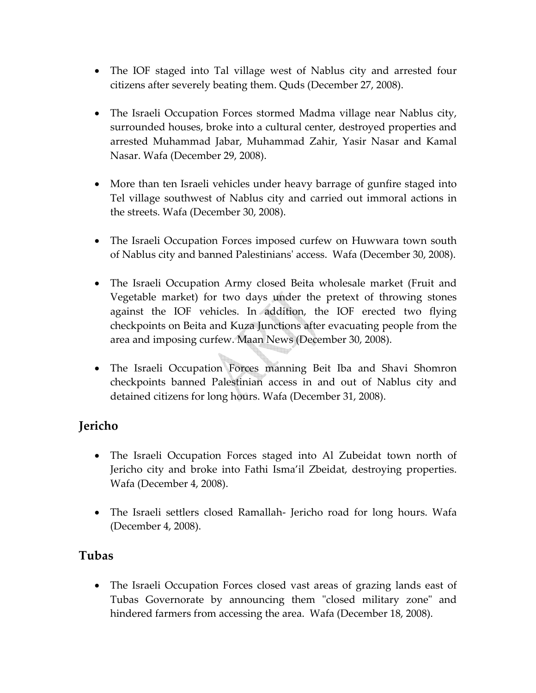- The IOF staged into Tal village west of Nablus city and arrested four citizens after severely beating them. Quds (December 27, 2008).
- The Israeli Occupation Forces stormed Madma village near Nablus city, surrounded houses, broke into a cultural center, destroyed properties and arrested Muhammad Jabar, Muhammad Zahir, Yasir Nasar and Kamal Nasar. Wafa (December 29, 2008).
- More than ten Israeli vehicles under heavy barrage of gunfire staged into Tel village southwest of Nablus city and carried out immoral actions in the streets. Wafa (December 30, 2008).
- The Israeli Occupation Forces imposed curfew on Huwwara town south of Nablus city and banned Palestiniansʹ access. Wafa (December 30, 2008).
- The Israeli Occupation Army closed Beita wholesale market (Fruit and Vegetable market) for two days under the pretext of throwing stones against the IOF vehicles. In addition, the IOF erected two flying checkpoints on Beita and Kuza Junctions after evacuating people from the area and imposing curfew. Maan News (December 30, 2008).
- The Israeli Occupation Forces manning Beit Iba and Shavi Shomron checkpoints banned Palestinian access in and out of Nablus city and detained citizens for long hours. Wafa (December 31, 2008).

## **Jericho**

- The Israeli Occupation Forces staged into Al Zubeidat town north of Jericho city and broke into Fathi Isma'il Zbeidat, destroying properties. Wafa (December 4, 2008).
- The Israeli settlers closed Ramallah‐ Jericho road for long hours. Wafa (December 4, 2008).

#### **Tubas**

• The Israeli Occupation Forces closed vast areas of grazing lands east of Tubas Governorate by announcing them "closed military zone" and hindered farmers from accessing the area. Wafa (December 18, 2008).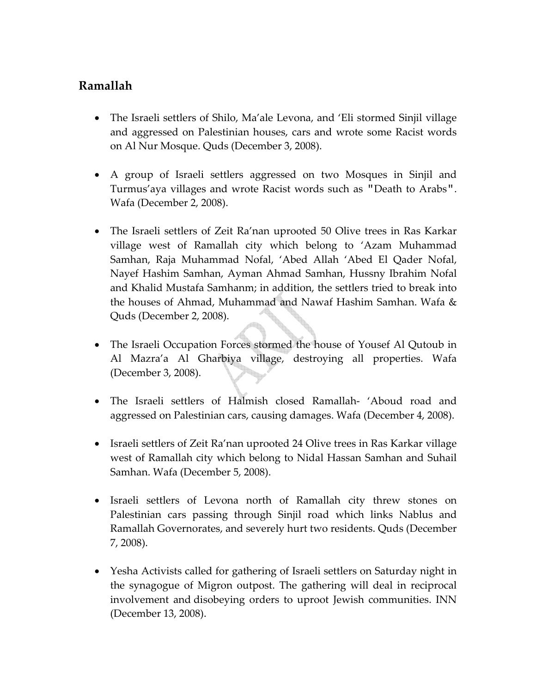## **Ramallah**

- The Israeli settlers of Shilo, Ma'ale Levona, and 'Eli stormed Sinjil village and aggressed on Palestinian houses, cars and wrote some Racist words on Al Nur Mosque. Quds (December 3, 2008).
- A group of Israeli settlers aggressed on two Mosques in Sinjil and Turmus'aya villages and wrote Racist words such as "Death to Arabs". Wafa (December 2, 2008).
- The Israeli settlers of Zeit Ra'nan uprooted 50 Olive trees in Ras Karkar village west of Ramallah city which belong to 'Azam Muhammad Samhan, Raja Muhammad Nofal, 'Abed Allah 'Abed El Qader Nofal, Nayef Hashim Samhan, Ayman Ahmad Samhan, Hussny Ibrahim Nofal and Khalid Mustafa Samhanm; in addition, the settlers tried to break into the houses of Ahmad, Muhammad and Nawaf Hashim Samhan. Wafa & Quds (December 2, 2008).
- The Israeli Occupation Forces stormed the house of Yousef Al Qutoub in Al Mazra'a Al Gharbiya village, destroying all properties. Wafa (December 3, 2008).
- The Israeli settlers of Halmish closed Ramallah‐ 'Aboud road and aggressed on Palestinian cars, causing damages. Wafa (December 4, 2008).
- Israeli settlers of Zeit Ra'nan uprooted 24 Olive trees in Ras Karkar village west of Ramallah city which belong to Nidal Hassan Samhan and Suhail Samhan. Wafa (December 5, 2008).
- Israeli settlers of Levona north of Ramallah city threw stones on Palestinian cars passing through Sinjil road which links Nablus and Ramallah Governorates, and severely hurt two residents. Quds (December 7, 2008).
- Yesha Activists called for gathering of Israeli settlers on Saturday night in the synagogue of Migron outpost. The gathering will deal in reciprocal involvement and disobeying orders to uproot Jewish communities. INN (December 13, 2008).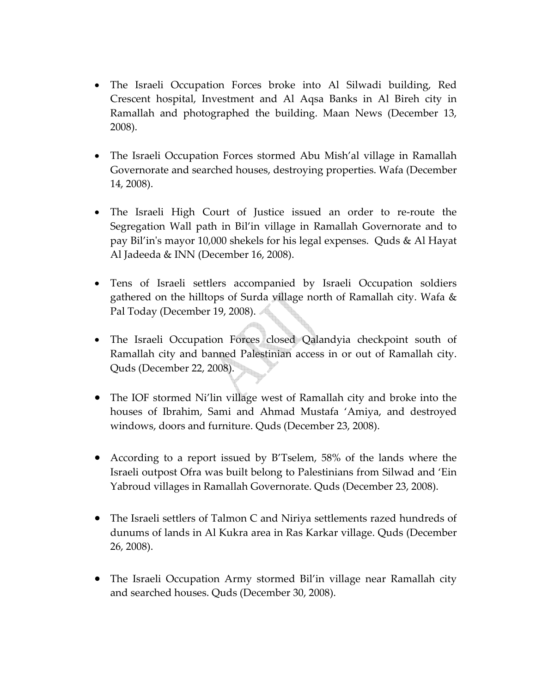- The Israeli Occupation Forces broke into Al Silwadi building, Red Crescent hospital, Investment and Al Aqsa Banks in Al Bireh city in Ramallah and photographed the building. Maan News (December 13, 2008).
- The Israeli Occupation Forces stormed Abu Mish'al village in Ramallah Governorate and searched houses, destroying properties. Wafa (December 14, 2008).
- The Israeli High Court of Justice issued an order to re-route the Segregation Wall path in Bil'in village in Ramallah Governorate and to pay Bil'inʹs mayor 10,000 shekels for his legal expenses. Quds & Al Hayat Al Jadeeda & INN (December 16, 2008).
- Tens of Israeli settlers accompanied by Israeli Occupation soldiers gathered on the hilltops of Surda village north of Ramallah city. Wafa & Pal Today (December 19, 2008).
- The Israeli Occupation Forces closed Qalandyia checkpoint south of Ramallah city and banned Palestinian access in or out of Ramallah city. Quds (December 22, 2008).
- The IOF stormed Ni'lin village west of Ramallah city and broke into the houses of Ibrahim, Sami and Ahmad Mustafa 'Amiya, and destroyed windows, doors and furniture. Quds (December 23, 2008).
- According to a report issued by B'Tselem, 58% of the lands where the Israeli outpost Ofra was built belong to Palestinians from Silwad and 'Ein Yabroud villages in Ramallah Governorate. Quds (December 23, 2008).
- The Israeli settlers of Talmon C and Niriya settlements razed hundreds of dunums of lands in Al Kukra area in Ras Karkar village. Quds (December 26, 2008).
- The Israeli Occupation Army stormed Bil'in village near Ramallah city and searched houses. Quds (December 30, 2008).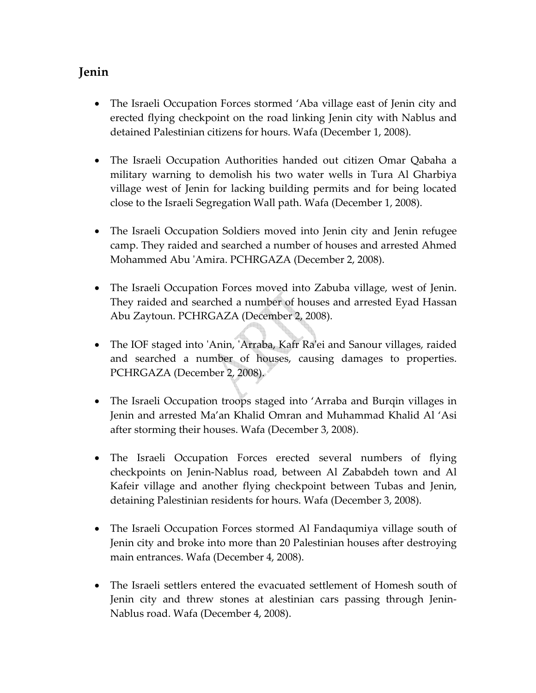## **Jenin**

- The Israeli Occupation Forces stormed 'Aba village east of Jenin city and erected flying checkpoint on the road linking Jenin city with Nablus and detained Palestinian citizens for hours. Wafa (December 1, 2008).
- The Israeli Occupation Authorities handed out citizen Omar Qabaha a military warning to demolish his two water wells in Tura Al Gharbiya village west of Jenin for lacking building permits and for being located close to the Israeli Segregation Wall path. Wafa (December 1, 2008).
- The Israeli Occupation Soldiers moved into Jenin city and Jenin refugee camp. They raided and searched a number of houses and arrested Ahmed Mohammed Abu ʹAmira. PCHRGAZA (December 2, 2008).
- The Israeli Occupation Forces moved into Zabuba village, west of Jenin. They raided and searched a number of houses and arrested Eyad Hassan Abu Zaytoun. PCHRGAZA (December 2, 2008).
- The IOF staged into 'Anin, 'Arraba, Kafr Ra'ei and Sanour villages, raided and searched a number of houses, causing damages to properties. PCHRGAZA (December 2, 2008).
- The Israeli Occupation troops staged into 'Arraba and Burqin villages in Jenin and arrested Ma'an Khalid Omran and Muhammad Khalid Al 'Asi after storming their houses. Wafa (December 3, 2008).
- The Israeli Occupation Forces erected several numbers of flying checkpoints on Jenin‐Nablus road, between Al Zababdeh town and Al Kafeir village and another flying checkpoint between Tubas and Jenin, detaining Palestinian residents for hours. Wafa (December 3, 2008).
- The Israeli Occupation Forces stormed Al Fandaqumiya village south of Jenin city and broke into more than 20 Palestinian houses after destroying main entrances. Wafa (December 4, 2008).
- The Israeli settlers entered the evacuated settlement of Homesh south of Jenin city and threw stones at alestinian cars passing through Jenin‐ Nablus road. Wafa (December 4, 2008).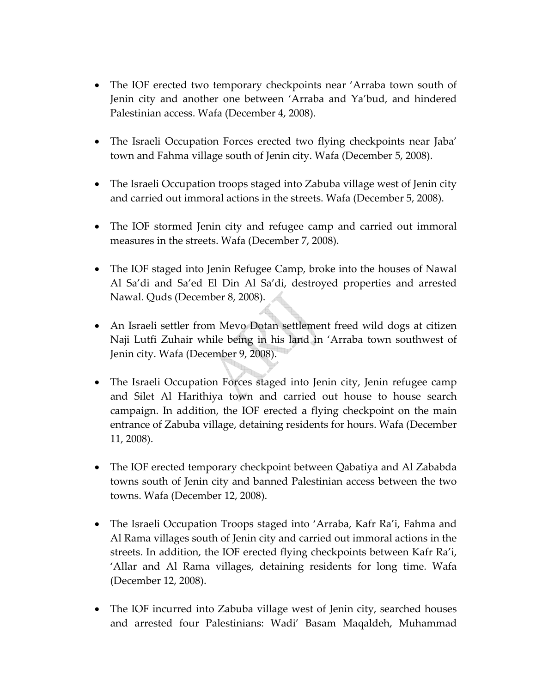- The IOF erected two temporary checkpoints near 'Arraba town south of Jenin city and another one between 'Arraba and Ya'bud, and hindered Palestinian access. Wafa (December 4, 2008).
- The Israeli Occupation Forces erected two flying checkpoints near Jaba' town and Fahma village south of Jenin city. Wafa (December 5, 2008).
- The Israeli Occupation troops staged into Zabuba village west of Jenin city and carried out immoral actions in the streets. Wafa (December 5, 2008).
- The IOF stormed Jenin city and refugee camp and carried out immoral measures in the streets. Wafa (December 7, 2008).
- The IOF staged into Jenin Refugee Camp, broke into the houses of Nawal Al Sa'di and Sa'ed El Din Al Sa'di, destroyed properties and arrested Nawal. Quds (December 8, 2008).
- An Israeli settler from Mevo Dotan settlement freed wild dogs at citizen Naji Lutfi Zuhair while being in his land in 'Arraba town southwest of Jenin city. Wafa (December 9, 2008).
- The Israeli Occupation Forces staged into Jenin city, Jenin refugee camp and Silet Al Harithiya town and carried out house to house search campaign. In addition, the IOF erected a flying checkpoint on the main entrance of Zabuba village, detaining residents for hours. Wafa (December 11, 2008).
- The IOF erected temporary checkpoint between Qabatiya and Al Zababda towns south of Jenin city and banned Palestinian access between the two towns. Wafa (December 12, 2008).
- The Israeli Occupation Troops staged into 'Arraba, Kafr Ra'i, Fahma and Al Rama villages south of Jenin city and carried out immoral actions in the streets. In addition, the IOF erected flying checkpoints between Kafr Ra'i, 'Allar and Al Rama villages, detaining residents for long time. Wafa (December 12, 2008).
- The IOF incurred into Zabuba village west of Jenin city, searched houses and arrested four Palestinians: Wadi' Basam Maqaldeh, Muhammad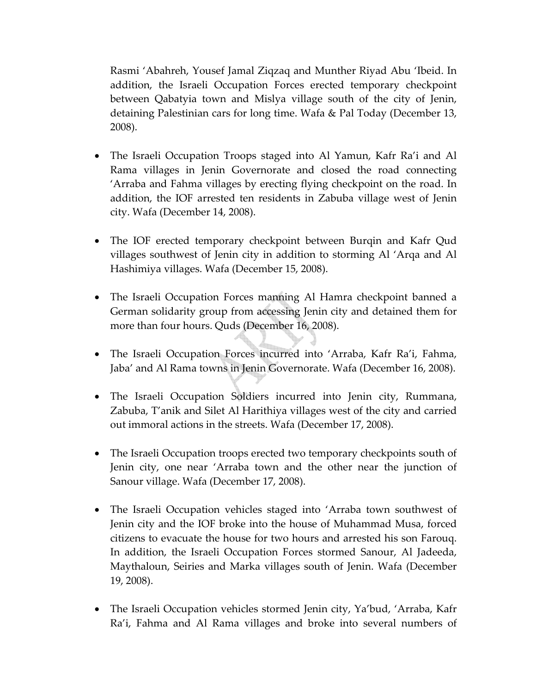Rasmi 'Abahreh, Yousef Jamal Ziqzaq and Munther Riyad Abu 'Ibeid. In addition, the Israeli Occupation Forces erected temporary checkpoint between Qabatyia town and Mislya village south of the city of Jenin, detaining Palestinian cars for long time. Wafa & Pal Today (December 13, 2008).

- The Israeli Occupation Troops staged into Al Yamun, Kafr Ra'i and Al Rama villages in Jenin Governorate and closed the road connecting 'Arraba and Fahma villages by erecting flying checkpoint on the road. In addition, the IOF arrested ten residents in Zabuba village west of Jenin city. Wafa (December 14, 2008).
- The IOF erected temporary checkpoint between Burqin and Kafr Qud villages southwest of Jenin city in addition to storming Al 'Arqa and Al Hashimiya villages. Wafa (December 15, 2008).
- The Israeli Occupation Forces manning Al Hamra checkpoint banned a German solidarity group from accessing Jenin city and detained them for more than four hours. Quds (December 16, 2008).
- The Israeli Occupation Forces incurred into 'Arraba, Kafr Ra'i, Fahma, Jaba' and Al Rama towns in Jenin Governorate. Wafa (December 16, 2008).
- The Israeli Occupation Soldiers incurred into Jenin city, Rummana, Zabuba, T'anik and Silet Al Harithiya villages west of the city and carried out immoral actions in the streets. Wafa (December 17, 2008).
- The Israeli Occupation troops erected two temporary checkpoints south of Jenin city, one near 'Arraba town and the other near the junction of Sanour village. Wafa (December 17, 2008).
- The Israeli Occupation vehicles staged into 'Arraba town southwest of Jenin city and the IOF broke into the house of Muhammad Musa, forced citizens to evacuate the house for two hours and arrested his son Farouq. In addition, the Israeli Occupation Forces stormed Sanour, Al Jadeeda, Maythaloun, Seiries and Marka villages south of Jenin. Wafa (December 19, 2008).
- The Israeli Occupation vehicles stormed Jenin city, Ya'bud, 'Arraba, Kafr Ra'i, Fahma and Al Rama villages and broke into several numbers of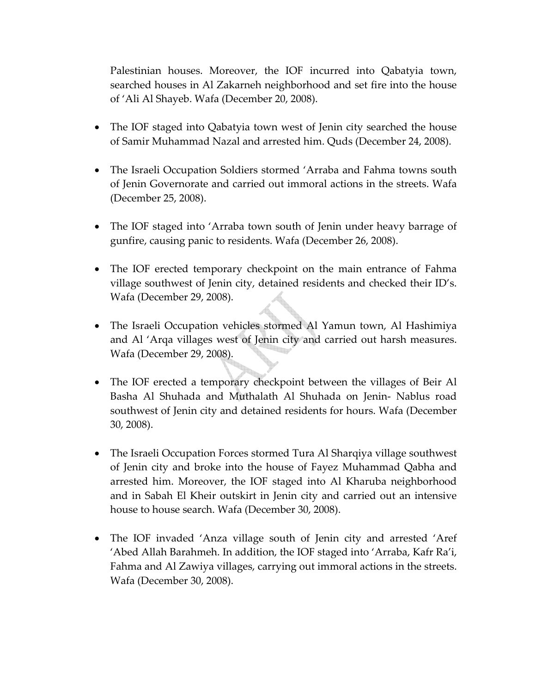Palestinian houses. Moreover, the IOF incurred into Qabatyia town, searched houses in Al Zakarneh neighborhood and set fire into the house of 'Ali Al Shayeb. Wafa (December 20, 2008).

- The IOF staged into Qabatyia town west of Jenin city searched the house of Samir Muhammad Nazal and arrested him. Quds (December 24, 2008).
- The Israeli Occupation Soldiers stormed 'Arraba and Fahma towns south of Jenin Governorate and carried out immoral actions in the streets. Wafa (December 25, 2008).
- The IOF staged into 'Arraba town south of Jenin under heavy barrage of gunfire, causing panic to residents. Wafa (December 26, 2008).
- The IOF erected temporary checkpoint on the main entrance of Fahma village southwest of Jenin city, detained residents and checked their ID's. Wafa (December 29, 2008).
- The Israeli Occupation vehicles stormed Al Yamun town, Al Hashimiya and Al 'Arqa villages west of Jenin city and carried out harsh measures. Wafa (December 29, 2008).
- The IOF erected a temporary checkpoint between the villages of Beir Al Basha Al Shuhada and Muthalath Al Shuhada on Jenin‐ Nablus road southwest of Jenin city and detained residents for hours. Wafa (December 30, 2008).
- The Israeli Occupation Forces stormed Tura Al Sharqiya village southwest of Jenin city and broke into the house of Fayez Muhammad Qabha and arrested him. Moreover, the IOF staged into Al Kharuba neighborhood and in Sabah El Kheir outskirt in Jenin city and carried out an intensive house to house search. Wafa (December 30, 2008).
- The IOF invaded 'Anza village south of Jenin city and arrested 'Aref 'Abed Allah Barahmeh. In addition, the IOF staged into 'Arraba, Kafr Ra'i, Fahma and Al Zawiya villages, carrying out immoral actions in the streets. Wafa (December 30, 2008).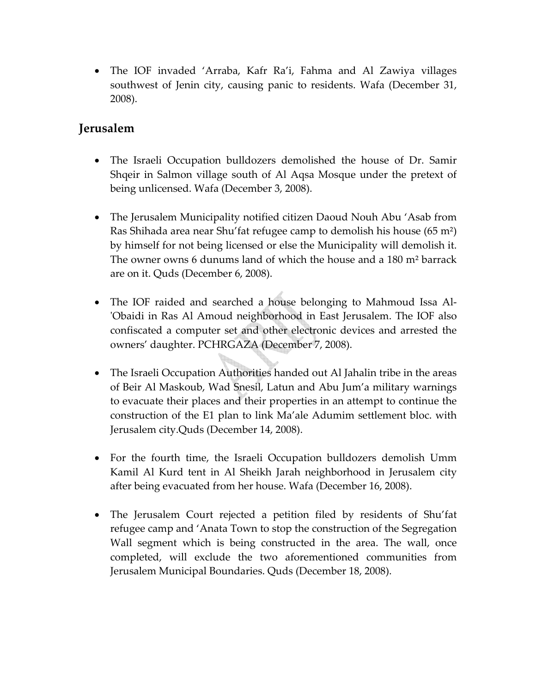• The IOF invaded 'Arraba, Kafr Ra'i, Fahma and Al Zawiya villages southwest of Jenin city, causing panic to residents. Wafa (December 31, 2008).

## **Jerusalem**

- The Israeli Occupation bulldozers demolished the house of Dr. Samir Shqeir in Salmon village south of Al Aqsa Mosque under the pretext of being unlicensed. Wafa (December 3, 2008).
- The Jerusalem Municipality notified citizen Daoud Nouh Abu 'Asab from Ras Shihada area near Shu'fat refugee camp to demolish his house (65 m²) by himself for not being licensed or else the Municipality will demolish it. The owner owns 6 dunums land of which the house and a 180 m² barrack are on it. Quds (December 6, 2008).
- The IOF raided and searched a house belonging to Mahmoud Issa Al-ʹObaidi in Ras Al Amoud neighborhood in East Jerusalem. The IOF also confiscated a computer set and other electronic devices and arrested the owners' daughter. PCHRGAZA (December 7, 2008).
- The Israeli Occupation Authorities handed out Al Jahalin tribe in the areas of Beir Al Maskoub, Wad Snesil, Latun and Abu Jum'a military warnings to evacuate their places and their properties in an attempt to continue the construction of the E1 plan to link Ma'ale Adumim settlement bloc. with Jerusalem city.Quds (December 14, 2008).
- For the fourth time, the Israeli Occupation bulldozers demolish Umm Kamil Al Kurd tent in Al Sheikh Jarah neighborhood in Jerusalem city after being evacuated from her house. Wafa (December 16, 2008).
- The Jerusalem Court rejected a petition filed by residents of Shu'fat refugee camp and 'Anata Town to stop the construction of the Segregation Wall segment which is being constructed in the area. The wall, once completed, will exclude the two aforementioned communities from Jerusalem Municipal Boundaries. Quds (December 18, 2008).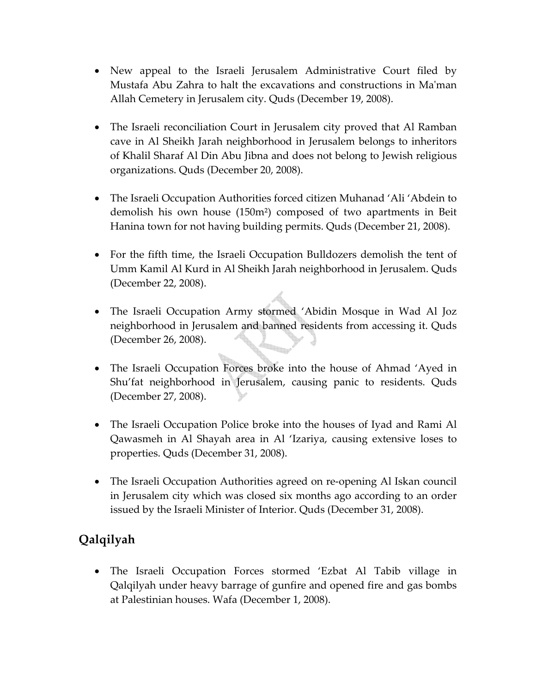- New appeal to the Israeli Jerusalem Administrative Court filed by Mustafa Abu Zahra to halt the excavations and constructions in Maʹman Allah Cemetery in Jerusalem city. Quds (December 19, 2008).
- The Israeli reconciliation Court in Jerusalem city proved that Al Ramban cave in Al Sheikh Jarah neighborhood in Jerusalem belongs to inheritors of Khalil Sharaf Al Din Abu Jibna and does not belong to Jewish religious organizations. Quds (December 20, 2008).
- The Israeli Occupation Authorities forced citizen Muhanad 'Ali 'Abdein to demolish his own house (150m²) composed of two apartments in Beit Hanina town for not having building permits. Quds (December 21, 2008).
- For the fifth time, the Israeli Occupation Bulldozers demolish the tent of Umm Kamil Al Kurd in Al Sheikh Jarah neighborhood in Jerusalem. Quds (December 22, 2008).
- The Israeli Occupation Army stormed 'Abidin Mosque in Wad Al Joz neighborhood in Jerusalem and banned residents from accessing it. Quds (December 26, 2008).
- The Israeli Occupation Forces broke into the house of Ahmad 'Ayed in Shu'fat neighborhood in Jerusalem, causing panic to residents. Quds (December 27, 2008).
- The Israeli Occupation Police broke into the houses of Iyad and Rami Al Qawasmeh in Al Shayah area in Al 'Izariya, causing extensive loses to properties. Quds (December 31, 2008).
- The Israeli Occupation Authorities agreed on re‐opening Al Iskan council in Jerusalem city which was closed six months ago according to an order issued by the Israeli Minister of Interior. Quds (December 31, 2008).

# **Qalqilyah**

• The Israeli Occupation Forces stormed 'Ezbat Al Tabib village in Qalqilyah under heavy barrage of gunfire and opened fire and gas bombs at Palestinian houses. Wafa (December 1, 2008).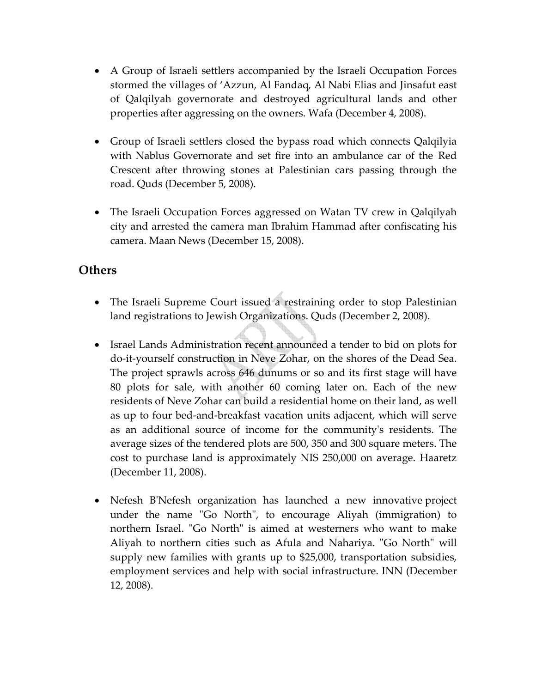- A Group of Israeli settlers accompanied by the Israeli Occupation Forces stormed the villages of 'Azzun, Al Fandaq, Al Nabi Elias and Jinsafut east of Qalqilyah governorate and destroyed agricultural lands and other properties after aggressing on the owners. Wafa (December 4, 2008).
- Group of Israeli settlers closed the bypass road which connects Qalqilyia with Nablus Governorate and set fire into an ambulance car of the Red Crescent after throwing stones at Palestinian cars passing through the road. Quds (December 5, 2008).
- The Israeli Occupation Forces aggressed on Watan TV crew in Qalqilyah city and arrested the camera man Ibrahim Hammad after confiscating his camera. Maan News (December 15, 2008).

## **Others**

- The Israeli Supreme Court issued a restraining order to stop Palestinian land registrations to Jewish Organizations. Quds (December 2, 2008).
- Israel Lands Administration recent announced a tender to bid on plots for do‐it‐yourself construction in Neve Zohar, on the shores of the Dead Sea. The project sprawls across 646 dunums or so and its first stage will have 80 plots for sale, with another 60 coming later on. Each of the new residents of Neve Zohar can build a residential home on their land, as well as up to four bed‐and‐breakfast vacation units adjacent, which will serve as an additional source of income for the communityʹs residents. The average sizes of the tendered plots are 500, 350 and 300 square meters. The cost to purchase land is approximately NIS 250,000 on average. Haaretz (December 11, 2008).
- Nefesh B'Nefesh organization has launched a new innovative project under the name "Go North", to encourage Aliyah (immigration) to northern Israel. "Go North" is aimed at westerners who want to make Aliyah to northern cities such as Afula and Nahariya. "Go North" will supply new families with grants up to \$25,000, transportation subsidies, employment services and help with social infrastructure. INN (December 12, 2008).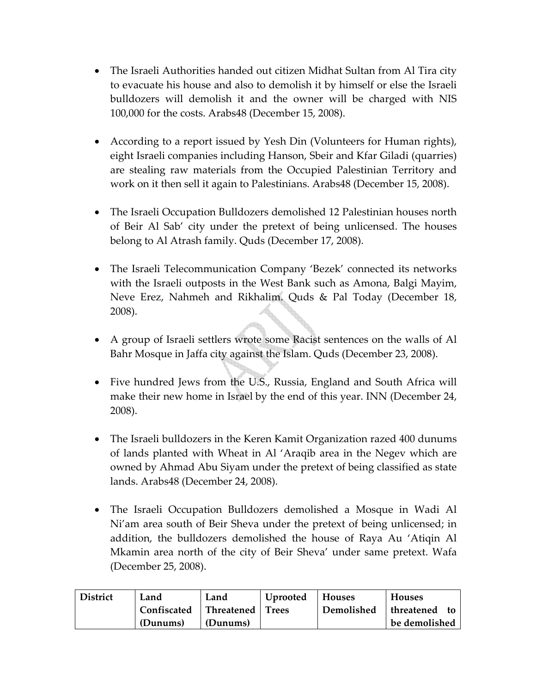- The Israeli Authorities handed out citizen Midhat Sultan from Al Tira city to evacuate his house and also to demolish it by himself or else the Israeli bulldozers will demolish it and the owner will be charged with NIS 100,000 for the costs. Arabs48 (December 15, 2008).
- According to a report issued by Yesh Din (Volunteers for Human rights), eight Israeli companies including Hanson, Sbeir and Kfar Giladi (quarries) are stealing raw materials from the Occupied Palestinian Territory and work on it then sell it again to Palestinians. Arabs48 (December 15, 2008).
- The Israeli Occupation Bulldozers demolished 12 Palestinian houses north of Beir Al Sab' city under the pretext of being unlicensed. The houses belong to Al Atrash family. Quds (December 17, 2008).
- The Israeli Telecommunication Company 'Bezek' connected its networks with the Israeli outposts in the West Bank such as Amona, Balgi Mayim, Neve Erez, Nahmeh and Rikhalim. Quds & Pal Today (December 18, 2008).
- A group of Israeli settlers wrote some Racist sentences on the walls of Al Bahr Mosque in Jaffa city against the Islam. Quds (December 23, 2008).
- Five hundred Jews from the U.S., Russia, England and South Africa will make their new home in Israel by the end of this year. INN (December 24, 2008).
- The Israeli bulldozers in the Keren Kamit Organization razed 400 dunums of lands planted with Wheat in Al 'Araqib area in the Negev which are owned by Ahmad Abu Siyam under the pretext of being classified as state lands. Arabs48 (December 24, 2008).
- The Israeli Occupation Bulldozers demolished a Mosque in Wadi Al Ni'am area south of Beir Sheva under the pretext of being unlicensed; in addition, the bulldozers demolished the house of Raya Au 'Atiqin Al Mkamin area north of the city of Beir Sheva' under same pretext. Wafa (December 25, 2008).

| <b>District</b> | Land        | Land       | Uprooted     | <b>Houses</b> | <b>Houses</b>      |
|-----------------|-------------|------------|--------------|---------------|--------------------|
|                 | Confiscated | Threatened | <b>Trees</b> | Demolished    | threatened<br>` to |
|                 | (Dunums)    | (Dunums)   |              |               | be demolished      |